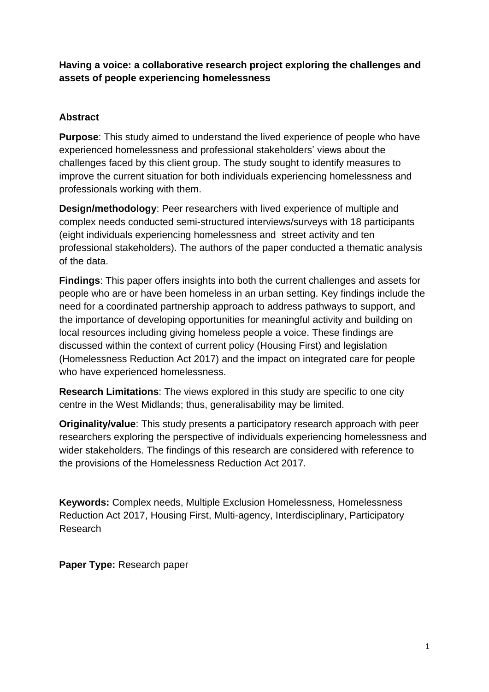**Having a voice: a collaborative research project exploring the challenges and assets of people experiencing homelessness**

## **Abstract**

**Purpose**: This study aimed to understand the lived experience of people who have experienced homelessness and professional stakeholders' views about the challenges faced by this client group. The study sought to identify measures to improve the current situation for both individuals experiencing homelessness and professionals working with them.

**Design/methodology**: Peer researchers with lived experience of multiple and complex needs conducted semi-structured interviews/surveys with 18 participants (eight individuals experiencing homelessness and street activity and ten professional stakeholders). The authors of the paper conducted a thematic analysis of the data.

**Findings**: This paper offers insights into both the current challenges and assets for people who are or have been homeless in an urban setting. Key findings include the need for a coordinated partnership approach to address pathways to support, and the importance of developing opportunities for meaningful activity and building on local resources including giving homeless people a voice. These findings are discussed within the context of current policy (Housing First) and legislation (Homelessness Reduction Act 2017) and the impact on integrated care for people who have experienced homelessness.

**Research Limitations**: The views explored in this study are specific to one city centre in the West Midlands; thus, generalisability may be limited.

**Originality/value**: This study presents a participatory research approach with peer researchers exploring the perspective of individuals experiencing homelessness and wider stakeholders. The findings of this research are considered with reference to the provisions of the Homelessness Reduction Act 2017.

**Keywords:** Complex needs, Multiple Exclusion Homelessness, Homelessness Reduction Act 2017, Housing First, Multi-agency, Interdisciplinary, Participatory Research

**Paper Type:** Research paper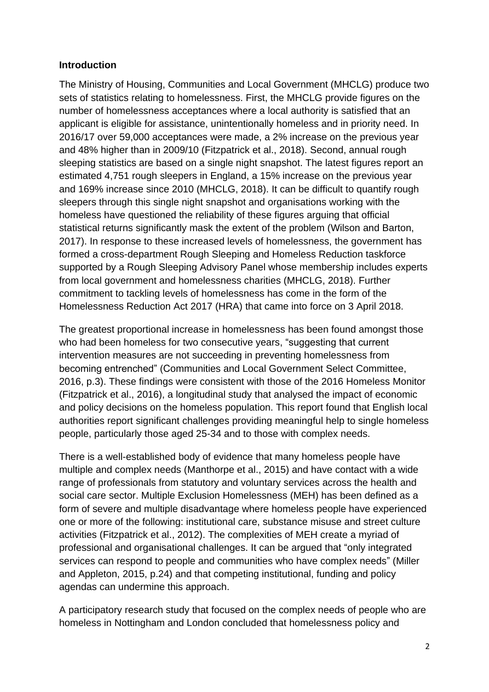#### **Introduction**

The Ministry of Housing, Communities and Local Government (MHCLG) produce two sets of statistics relating to homelessness. First, the MHCLG provide figures on the number of homelessness acceptances where a local authority is satisfied that an applicant is eligible for assistance, unintentionally homeless and in priority need. In 2016/17 over 59,000 acceptances were made, a 2% increase on the previous year and 48% higher than in 2009/10 (Fitzpatrick et al., 2018). Second, annual rough sleeping statistics are based on a single night snapshot. The latest figures report an estimated 4,751 rough sleepers in England, a 15% increase on the previous year and 169% increase since 2010 (MHCLG, 2018). It can be difficult to quantify rough sleepers through this single night snapshot and organisations working with the homeless have questioned the reliability of these figures arguing that official statistical returns significantly mask the extent of the problem (Wilson and Barton, 2017). In response to these increased levels of homelessness, the government has formed a cross-department Rough Sleeping and Homeless Reduction taskforce supported by a Rough Sleeping Advisory Panel whose membership includes experts from local government and homelessness charities (MHCLG, 2018). Further commitment to tackling levels of homelessness has come in the form of the Homelessness Reduction Act 2017 (HRA) that came into force on 3 April 2018.

The greatest proportional increase in homelessness has been found amongst those who had been homeless for two consecutive years, "suggesting that current intervention measures are not succeeding in preventing homelessness from becoming entrenched" (Communities and Local Government Select Committee, 2016, p.3). These findings were consistent with those of the 2016 Homeless Monitor (Fitzpatrick et al., 2016), a longitudinal study that analysed the impact of economic and policy decisions on the homeless population. This report found that English local authorities report significant challenges providing meaningful help to single homeless people, particularly those aged 25-34 and to those with complex needs.

There is a well-established body of evidence that many homeless people have multiple and complex needs (Manthorpe et al., 2015) and have contact with a wide range of professionals from statutory and voluntary services across the health and social care sector. Multiple Exclusion Homelessness (MEH) has been defined as a form of severe and multiple disadvantage where homeless people have experienced one or more of the following: institutional care, substance misuse and street culture activities (Fitzpatrick et al., 2012). The complexities of MEH create a myriad of professional and organisational challenges. It can be argued that "only integrated services can respond to people and communities who have complex needs" (Miller and Appleton, 2015, p.24) and that competing institutional, funding and policy agendas can undermine this approach.

A participatory research study that focused on the complex needs of people who are homeless in Nottingham and London concluded that homelessness policy and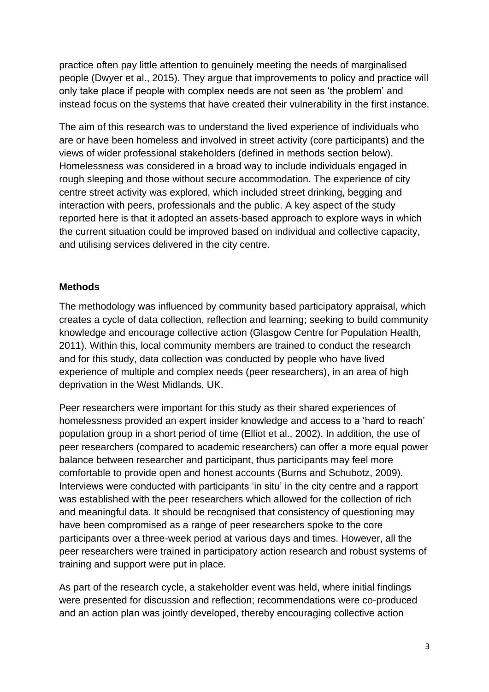practice often pay little attention to genuinely meeting the needs of marginalised people (Dwyer et al., 2015). They argue that improvements to policy and practice will only take place if people with complex needs are not seen as 'the problem' and instead focus on the systems that have created their vulnerability in the first instance.

The aim of this research was to understand the lived experience of individuals who are or have been homeless and involved in street activity (core participants) and the views of wider professional stakeholders (defined in methods section below). Homelessness was considered in a broad way to include individuals engaged in rough sleeping and those without secure accommodation. The experience of city centre street activity was explored, which included street drinking, begging and interaction with peers, professionals and the public. A key aspect of the study reported here is that it adopted an assets-based approach to explore ways in which the current situation could be improved based on individual and collective capacity, and utilising services delivered in the city centre.

#### **Methods**

The methodology was influenced by community based participatory appraisal, which creates a cycle of data collection, reflection and learning; seeking to build community knowledge and encourage collective action (Glasgow Centre for Population Health, 2011). Within this, local community members are trained to conduct the research and for this study, data collection was conducted by people who have lived experience of multiple and complex needs (peer researchers), in an area of high deprivation in the West Midlands, UK.

Peer researchers were important for this study as their shared experiences of homelessness provided an expert insider knowledge and access to a 'hard to reach' population group in a short period of time (Elliot et al., 2002). In addition, the use of peer researchers (compared to academic researchers) can offer a more equal power balance between researcher and participant, thus participants may feel more comfortable to provide open and honest accounts (Burns and Schubotz, 2009). Interviews were conducted with participants 'in situ' in the city centre and a rapport was established with the peer researchers which allowed for the collection of rich and meaningful data. It should be recognised that consistency of questioning may have been compromised as a range of peer researchers spoke to the core participants over a three-week period at various days and times. However, all the peer researchers were trained in participatory action research and robust systems of training and support were put in place.

As part of the research cycle, a stakeholder event was held, where initial findings were presented for discussion and reflection; recommendations were co-produced and an action plan was jointly developed, thereby encouraging collective action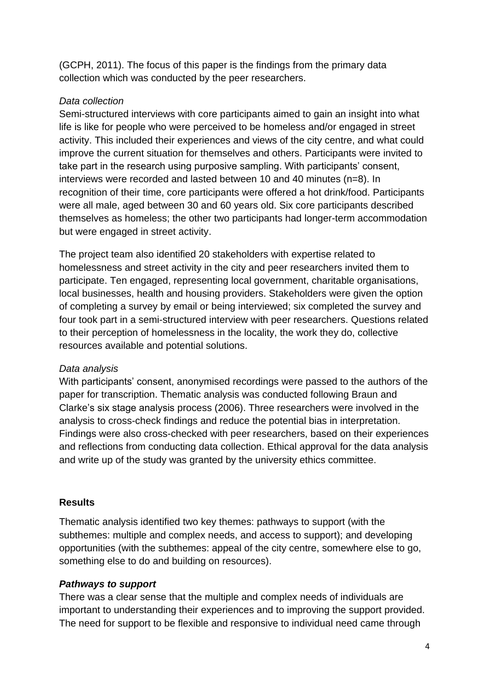(GCPH, 2011). The focus of this paper is the findings from the primary data collection which was conducted by the peer researchers.

## *Data collection*

Semi-structured interviews with core participants aimed to gain an insight into what life is like for people who were perceived to be homeless and/or engaged in street activity. This included their experiences and views of the city centre, and what could improve the current situation for themselves and others. Participants were invited to take part in the research using purposive sampling. With participants' consent, interviews were recorded and lasted between 10 and 40 minutes (n=8). In recognition of their time, core participants were offered a hot drink/food. Participants were all male, aged between 30 and 60 years old. Six core participants described themselves as homeless; the other two participants had longer-term accommodation but were engaged in street activity.

The project team also identified 20 stakeholders with expertise related to homelessness and street activity in the city and peer researchers invited them to participate. Ten engaged, representing local government, charitable organisations, local businesses, health and housing providers. Stakeholders were given the option of completing a survey by email or being interviewed; six completed the survey and four took part in a semi-structured interview with peer researchers. Questions related to their perception of homelessness in the locality, the work they do, collective resources available and potential solutions.

#### *Data analysis*

With participants' consent, anonymised recordings were passed to the authors of the paper for transcription. Thematic analysis was conducted following Braun and Clarke's six stage analysis process (2006). Three researchers were involved in the analysis to cross-check findings and reduce the potential bias in interpretation. Findings were also cross-checked with peer researchers, based on their experiences and reflections from conducting data collection. Ethical approval for the data analysis and write up of the study was granted by the university ethics committee.

#### **Results**

Thematic analysis identified two key themes: pathways to support (with the subthemes: multiple and complex needs, and access to support); and developing opportunities (with the subthemes: appeal of the city centre, somewhere else to go, something else to do and building on resources).

# *Pathways to support*

There was a clear sense that the multiple and complex needs of individuals are important to understanding their experiences and to improving the support provided. The need for support to be flexible and responsive to individual need came through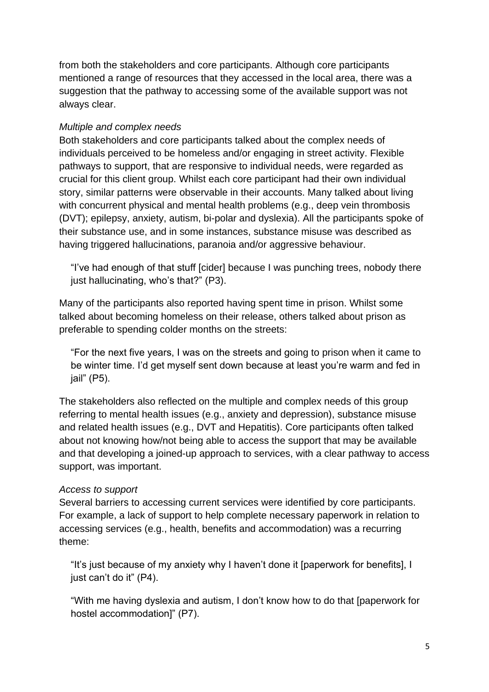from both the stakeholders and core participants. Although core participants mentioned a range of resources that they accessed in the local area, there was a suggestion that the pathway to accessing some of the available support was not always clear.

#### *Multiple and complex needs*

Both stakeholders and core participants talked about the complex needs of individuals perceived to be homeless and/or engaging in street activity. Flexible pathways to support, that are responsive to individual needs, were regarded as crucial for this client group. Whilst each core participant had their own individual story, similar patterns were observable in their accounts. Many talked about living with concurrent physical and mental health problems (e.g., deep vein thrombosis (DVT); epilepsy, anxiety, autism, bi-polar and dyslexia). All the participants spoke of their substance use, and in some instances, substance misuse was described as having triggered hallucinations, paranoia and/or aggressive behaviour.

"I've had enough of that stuff [cider] because I was punching trees, nobody there just hallucinating, who's that?" (P3).

Many of the participants also reported having spent time in prison. Whilst some talked about becoming homeless on their release, others talked about prison as preferable to spending colder months on the streets:

"For the next five years, I was on the streets and going to prison when it came to be winter time. I'd get myself sent down because at least you're warm and fed in jail" (P5).

The stakeholders also reflected on the multiple and complex needs of this group referring to mental health issues (e.g., anxiety and depression), substance misuse and related health issues (e.g., DVT and Hepatitis). Core participants often talked about not knowing how/not being able to access the support that may be available and that developing a joined-up approach to services, with a clear pathway to access support, was important.

#### *Access to support*

Several barriers to accessing current services were identified by core participants. For example, a lack of support to help complete necessary paperwork in relation to accessing services (e.g., health, benefits and accommodation) was a recurring theme:

"It's just because of my anxiety why I haven't done it [paperwork for benefits], I just can't do it" (P4).

"With me having dyslexia and autism, I don't know how to do that [paperwork for hostel accommodation]" (P7).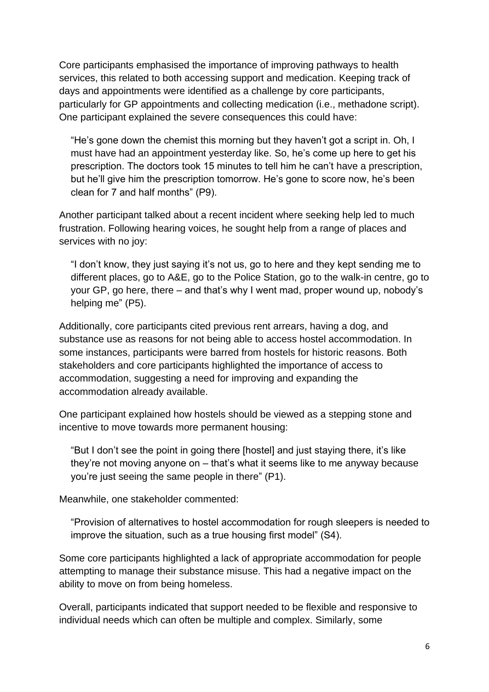Core participants emphasised the importance of improving pathways to health services, this related to both accessing support and medication. Keeping track of days and appointments were identified as a challenge by core participants, particularly for GP appointments and collecting medication (i.e., methadone script). One participant explained the severe consequences this could have:

"He's gone down the chemist this morning but they haven't got a script in. Oh, I must have had an appointment yesterday like. So, he's come up here to get his prescription. The doctors took 15 minutes to tell him he can't have a prescription, but he'll give him the prescription tomorrow. He's gone to score now, he's been clean for 7 and half months" (P9).

Another participant talked about a recent incident where seeking help led to much frustration. Following hearing voices, he sought help from a range of places and services with no joy:

"I don't know, they just saying it's not us, go to here and they kept sending me to different places, go to A&E, go to the Police Station, go to the walk-in centre, go to your GP, go here, there – and that's why I went mad, proper wound up, nobody's helping me" (P5).

Additionally, core participants cited previous rent arrears, having a dog, and substance use as reasons for not being able to access hostel accommodation. In some instances, participants were barred from hostels for historic reasons. Both stakeholders and core participants highlighted the importance of access to accommodation, suggesting a need for improving and expanding the accommodation already available.

One participant explained how hostels should be viewed as a stepping stone and incentive to move towards more permanent housing:

"But I don't see the point in going there [hostel] and just staying there, it's like they're not moving anyone on – that's what it seems like to me anyway because you're just seeing the same people in there" (P1).

Meanwhile, one stakeholder commented:

"Provision of alternatives to hostel accommodation for rough sleepers is needed to improve the situation, such as a true housing first model" (S4).

Some core participants highlighted a lack of appropriate accommodation for people attempting to manage their substance misuse. This had a negative impact on the ability to move on from being homeless.

Overall, participants indicated that support needed to be flexible and responsive to individual needs which can often be multiple and complex. Similarly, some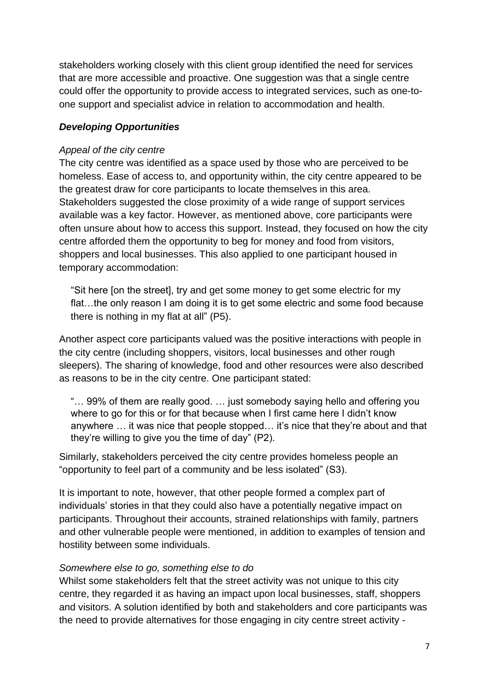stakeholders working closely with this client group identified the need for services that are more accessible and proactive. One suggestion was that a single centre could offer the opportunity to provide access to integrated services, such as one-toone support and specialist advice in relation to accommodation and health.

## *Developing Opportunities*

#### *Appeal of the city centre*

The city centre was identified as a space used by those who are perceived to be homeless. Ease of access to, and opportunity within, the city centre appeared to be the greatest draw for core participants to locate themselves in this area. Stakeholders suggested the close proximity of a wide range of support services available was a key factor. However, as mentioned above, core participants were often unsure about how to access this support. Instead, they focused on how the city centre afforded them the opportunity to beg for money and food from visitors, shoppers and local businesses. This also applied to one participant housed in temporary accommodation:

"Sit here [on the street], try and get some money to get some electric for my flat…the only reason I am doing it is to get some electric and some food because there is nothing in my flat at all" (P5).

Another aspect core participants valued was the positive interactions with people in the city centre (including shoppers, visitors, local businesses and other rough sleepers). The sharing of knowledge, food and other resources were also described as reasons to be in the city centre. One participant stated:

"… 99% of them are really good. … just somebody saying hello and offering you where to go for this or for that because when I first came here I didn't know anywhere … it was nice that people stopped… it's nice that they're about and that they're willing to give you the time of day" (P2).

Similarly, stakeholders perceived the city centre provides homeless people an "opportunity to feel part of a community and be less isolated" (S3).

It is important to note, however, that other people formed a complex part of individuals' stories in that they could also have a potentially negative impact on participants. Throughout their accounts, strained relationships with family, partners and other vulnerable people were mentioned, in addition to examples of tension and hostility between some individuals.

#### *Somewhere else to go, something else to do*

Whilst some stakeholders felt that the street activity was not unique to this city centre, they regarded it as having an impact upon local businesses, staff, shoppers and visitors. A solution identified by both and stakeholders and core participants was the need to provide alternatives for those engaging in city centre street activity -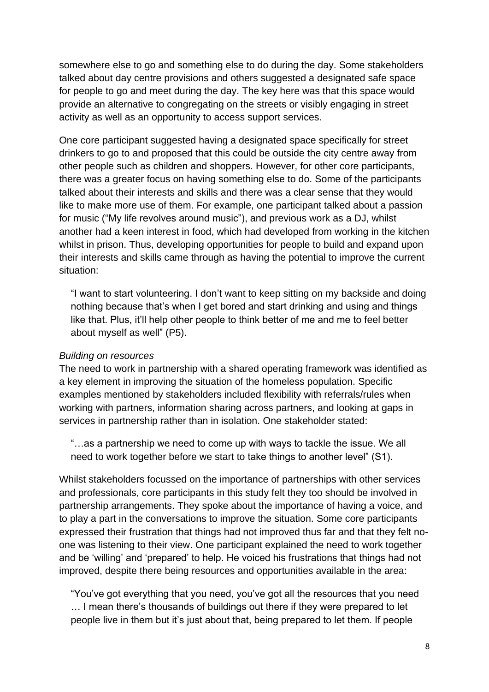somewhere else to go and something else to do during the day. Some stakeholders talked about day centre provisions and others suggested a designated safe space for people to go and meet during the day. The key here was that this space would provide an alternative to congregating on the streets or visibly engaging in street activity as well as an opportunity to access support services.

One core participant suggested having a designated space specifically for street drinkers to go to and proposed that this could be outside the city centre away from other people such as children and shoppers. However, for other core participants, there was a greater focus on having something else to do. Some of the participants talked about their interests and skills and there was a clear sense that they would like to make more use of them. For example, one participant talked about a passion for music ("My life revolves around music"), and previous work as a DJ, whilst another had a keen interest in food, which had developed from working in the kitchen whilst in prison. Thus, developing opportunities for people to build and expand upon their interests and skills came through as having the potential to improve the current situation:

"I want to start volunteering. I don't want to keep sitting on my backside and doing nothing because that's when I get bored and start drinking and using and things like that. Plus, it'll help other people to think better of me and me to feel better about myself as well" (P5).

#### *Building on resources*

The need to work in partnership with a shared operating framework was identified as a key element in improving the situation of the homeless population. Specific examples mentioned by stakeholders included flexibility with referrals/rules when working with partners, information sharing across partners, and looking at gaps in services in partnership rather than in isolation. One stakeholder stated:

"…as a partnership we need to come up with ways to tackle the issue. We all need to work together before we start to take things to another level" (S1).

Whilst stakeholders focussed on the importance of partnerships with other services and professionals, core participants in this study felt they too should be involved in partnership arrangements. They spoke about the importance of having a voice, and to play a part in the conversations to improve the situation. Some core participants expressed their frustration that things had not improved thus far and that they felt noone was listening to their view. One participant explained the need to work together and be 'willing' and 'prepared' to help. He voiced his frustrations that things had not improved, despite there being resources and opportunities available in the area:

"You've got everything that you need, you've got all the resources that you need … I mean there's thousands of buildings out there if they were prepared to let people live in them but it's just about that, being prepared to let them. If people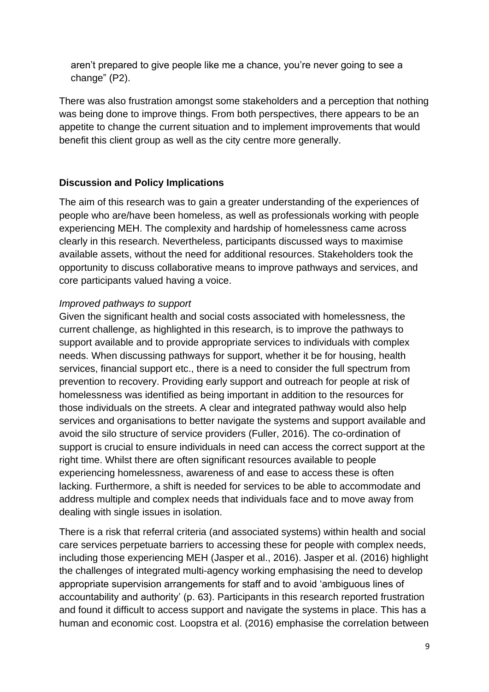aren't prepared to give people like me a chance, you're never going to see a change" (P2).

There was also frustration amongst some stakeholders and a perception that nothing was being done to improve things. From both perspectives, there appears to be an appetite to change the current situation and to implement improvements that would benefit this client group as well as the city centre more generally.

## **Discussion and Policy Implications**

The aim of this research was to gain a greater understanding of the experiences of people who are/have been homeless, as well as professionals working with people experiencing MEH. The complexity and hardship of homelessness came across clearly in this research. Nevertheless, participants discussed ways to maximise available assets, without the need for additional resources. Stakeholders took the opportunity to discuss collaborative means to improve pathways and services, and core participants valued having a voice.

#### *Improved pathways to support*

Given the significant health and social costs associated with homelessness, the current challenge, as highlighted in this research, is to improve the pathways to support available and to provide appropriate services to individuals with complex needs. When discussing pathways for support, whether it be for housing, health services, financial support etc., there is a need to consider the full spectrum from prevention to recovery. Providing early support and outreach for people at risk of homelessness was identified as being important in addition to the resources for those individuals on the streets. A clear and integrated pathway would also help services and organisations to better navigate the systems and support available and avoid the silo structure of service providers (Fuller, 2016). The co-ordination of support is crucial to ensure individuals in need can access the correct support at the right time. Whilst there are often significant resources available to people experiencing homelessness, awareness of and ease to access these is often lacking. Furthermore, a shift is needed for services to be able to accommodate and address multiple and complex needs that individuals face and to move away from dealing with single issues in isolation.

There is a risk that referral criteria (and associated systems) within health and social care services perpetuate barriers to accessing these for people with complex needs, including those experiencing MEH (Jasper et al., 2016). Jasper et al. (2016) highlight the challenges of integrated multi-agency working emphasising the need to develop appropriate supervision arrangements for staff and to avoid 'ambiguous lines of accountability and authority' (p. 63). Participants in this research reported frustration and found it difficult to access support and navigate the systems in place. This has a human and economic cost. Loopstra et al. (2016) emphasise the correlation between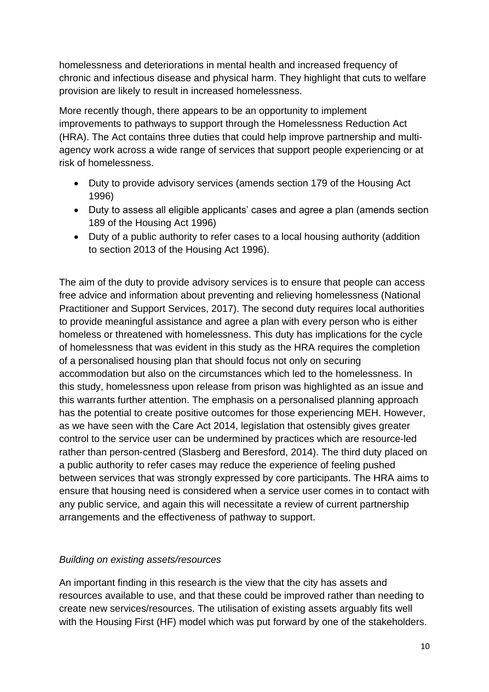homelessness and deteriorations in mental health and increased frequency of chronic and infectious disease and physical harm. They highlight that cuts to welfare provision are likely to result in increased homelessness.

More recently though, there appears to be an opportunity to implement improvements to pathways to support through the Homelessness Reduction Act (HRA). The Act contains three duties that could help improve partnership and multiagency work across a wide range of services that support people experiencing or at risk of homelessness.

- Duty to provide advisory services (amends section 179 of the Housing Act 1996)
- Duty to assess all eligible applicants' cases and agree a plan (amends section 189 of the Housing Act 1996)
- Duty of a public authority to refer cases to a local housing authority (addition to section 2013 of the Housing Act 1996).

The aim of the duty to provide advisory services is to ensure that people can access free advice and information about preventing and relieving homelessness (National Practitioner and Support Services, 2017). The second duty requires local authorities to provide meaningful assistance and agree a plan with every person who is either homeless or threatened with homelessness. This duty has implications for the cycle of homelessness that was evident in this study as the HRA requires the completion of a personalised housing plan that should focus not only on securing accommodation but also on the circumstances which led to the homelessness. In this study, homelessness upon release from prison was highlighted as an issue and this warrants further attention. The emphasis on a personalised planning approach has the potential to create positive outcomes for those experiencing MEH. However, as we have seen with the Care Act 2014, legislation that ostensibly gives greater control to the service user can be undermined by practices which are resource-led rather than person-centred (Slasberg and Beresford, 2014). The third duty placed on a public authority to refer cases may reduce the experience of feeling pushed between services that was strongly expressed by core participants. The HRA aims to ensure that housing need is considered when a service user comes in to contact with any public service, and again this will necessitate a review of current partnership arrangements and the effectiveness of pathway to support.

#### *Building on existing assets/resources*

An important finding in this research is the view that the city has assets and resources available to use, and that these could be improved rather than needing to create new services/resources. The utilisation of existing assets arguably fits well with the Housing First (HF) model which was put forward by one of the stakeholders.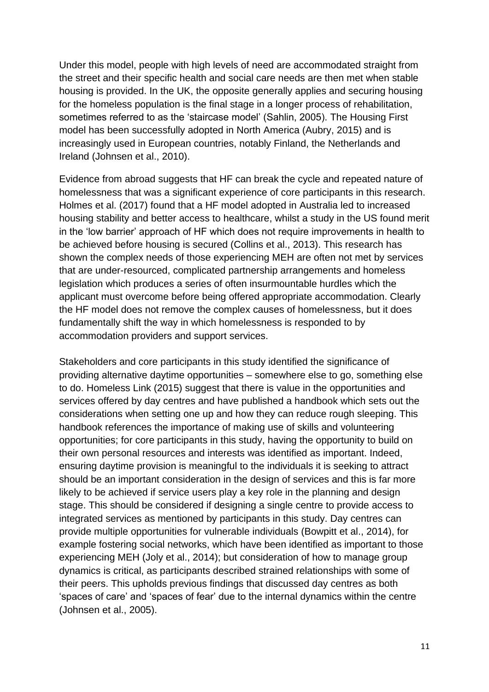Under this model, people with high levels of need are accommodated straight from the street and their specific health and social care needs are then met when stable housing is provided. In the UK, the opposite generally applies and securing housing for the homeless population is the final stage in a longer process of rehabilitation, sometimes referred to as the 'staircase model' (Sahlin, 2005). The Housing First model has been successfully adopted in North America (Aubry, 2015) and is increasingly used in European countries, notably Finland, the Netherlands and Ireland (Johnsen et al., 2010).

Evidence from abroad suggests that HF can break the cycle and repeated nature of homelessness that was a significant experience of core participants in this research. Holmes et al. (2017) found that a HF model adopted in Australia led to increased housing stability and better access to healthcare, whilst a study in the US found merit in the 'low barrier' approach of HF which does not require improvements in health to be achieved before housing is secured (Collins et al., 2013). This research has shown the complex needs of those experiencing MEH are often not met by services that are under-resourced, complicated partnership arrangements and homeless legislation which produces a series of often insurmountable hurdles which the applicant must overcome before being offered appropriate accommodation. Clearly the HF model does not remove the complex causes of homelessness, but it does fundamentally shift the way in which homelessness is responded to by accommodation providers and support services.

Stakeholders and core participants in this study identified the significance of providing alternative daytime opportunities – somewhere else to go, something else to do. Homeless Link (2015) suggest that there is value in the opportunities and services offered by day centres and have published a handbook which sets out the considerations when setting one up and how they can reduce rough sleeping. This handbook references the importance of making use of skills and volunteering opportunities; for core participants in this study, having the opportunity to build on their own personal resources and interests was identified as important. Indeed, ensuring daytime provision is meaningful to the individuals it is seeking to attract should be an important consideration in the design of services and this is far more likely to be achieved if service users play a key role in the planning and design stage. This should be considered if designing a single centre to provide access to integrated services as mentioned by participants in this study. Day centres can provide multiple opportunities for vulnerable individuals (Bowpitt et al., 2014), for example fostering social networks, which have been identified as important to those experiencing MEH (Joly et al., 2014); but consideration of how to manage group dynamics is critical, as participants described strained relationships with some of their peers. This upholds previous findings that discussed day centres as both 'spaces of care' and 'spaces of fear' due to the internal dynamics within the centre (Johnsen et al., 2005).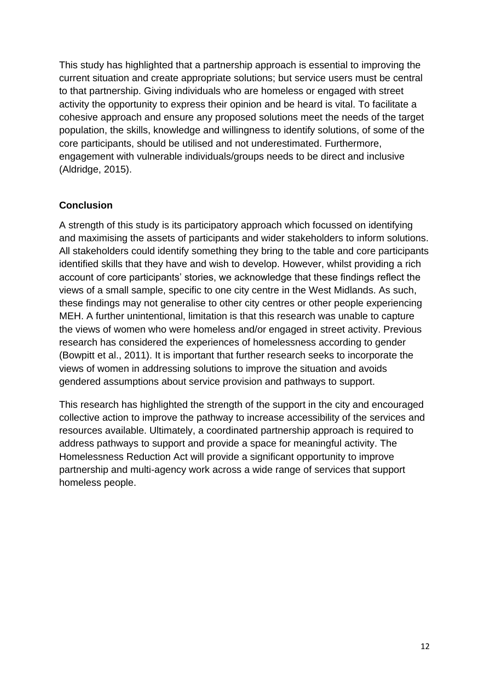This study has highlighted that a partnership approach is essential to improving the current situation and create appropriate solutions; but service users must be central to that partnership. Giving individuals who are homeless or engaged with street activity the opportunity to express their opinion and be heard is vital. To facilitate a cohesive approach and ensure any proposed solutions meet the needs of the target population, the skills, knowledge and willingness to identify solutions, of some of the core participants, should be utilised and not underestimated. Furthermore, engagement with vulnerable individuals/groups needs to be direct and inclusive (Aldridge, 2015).

#### **Conclusion**

A strength of this study is its participatory approach which focussed on identifying and maximising the assets of participants and wider stakeholders to inform solutions. All stakeholders could identify something they bring to the table and core participants identified skills that they have and wish to develop. However, whilst providing a rich account of core participants' stories, we acknowledge that these findings reflect the views of a small sample, specific to one city centre in the West Midlands. As such, these findings may not generalise to other city centres or other people experiencing MEH. A further unintentional, limitation is that this research was unable to capture the views of women who were homeless and/or engaged in street activity. Previous research has considered the experiences of homelessness according to gender (Bowpitt et al., 2011). It is important that further research seeks to incorporate the views of women in addressing solutions to improve the situation and avoids gendered assumptions about service provision and pathways to support.

This research has highlighted the strength of the support in the city and encouraged collective action to improve the pathway to increase accessibility of the services and resources available. Ultimately, a coordinated partnership approach is required to address pathways to support and provide a space for meaningful activity. The Homelessness Reduction Act will provide a significant opportunity to improve partnership and multi-agency work across a wide range of services that support homeless people.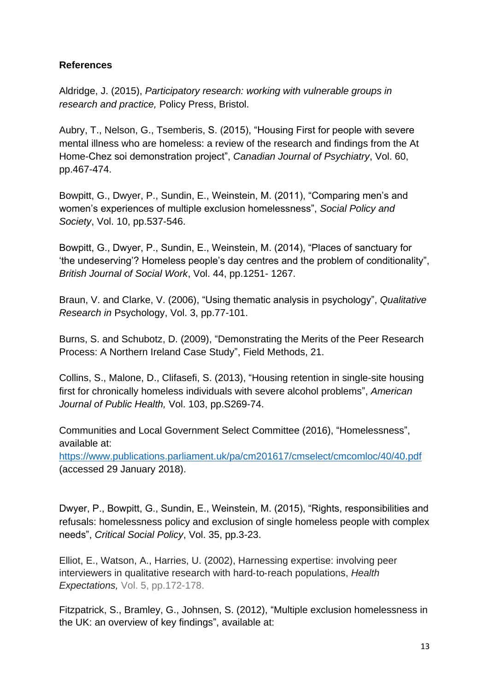## **References**

Aldridge, J. (2015), *Participatory research: working with vulnerable groups in research and practice,* Policy Press, Bristol.

Aubry, T., Nelson, G., Tsemberis, S. (2015), "Housing First for people with severe mental illness who are homeless: a review of the research and findings from the At Home-Chez soi demonstration project", *Canadian Journal of Psychiatry*, Vol. 60, pp.467-474.

Bowpitt, G., Dwyer, P., Sundin, E., Weinstein, M. (2011), "Comparing men's and women's experiences of multiple exclusion homelessness", *Social Policy and Society*, Vol. 10, pp.537-546.

Bowpitt, G., Dwyer, P., Sundin, E., Weinstein, M. (2014), "Places of sanctuary for 'the undeserving'? Homeless people's day centres and the problem of conditionality", *British Journal of Social Work*, Vol. 44, pp.1251- 1267.

Braun, V. and Clarke, V. (2006), "Using thematic analysis in psychology", *Qualitative Research in* Psychology, Vol. 3, pp.77-101.

Burns, S. and Schubotz, D. (2009), "Demonstrating the Merits of the Peer Research Process: A Northern Ireland Case Study", Field Methods, 21.

Collins, S., Malone, D., Clifasefi, S. (2013), "Housing retention in single-site housing first for chronically homeless individuals with severe alcohol problems", *American Journal of Public Health,* Vol. 103, pp.S269-74.

Communities and Local Government Select Committee (2016), "Homelessness", available at:

<https://www.publications.parliament.uk/pa/cm201617/cmselect/cmcomloc/40/40.pdf> (accessed 29 January 2018).

Dwyer, P., Bowpitt, G., Sundin, E., Weinstein, M. (2015), "Rights, responsibilities and refusals: homelessness policy and exclusion of single homeless people with complex needs", *Critical Social Policy*, Vol. 35, pp.3-23.

Elliot, E., Watson, A., Harries, U. (2002), Harnessing expertise: involving peer interviewers in qualitative research with hard‐to‐reach populations, *Health Expectations,* Vol. 5, pp.172-178.

Fitzpatrick, S., Bramley, G., Johnsen, S. (2012), "Multiple exclusion homelessness in the UK: an overview of key findings", available at: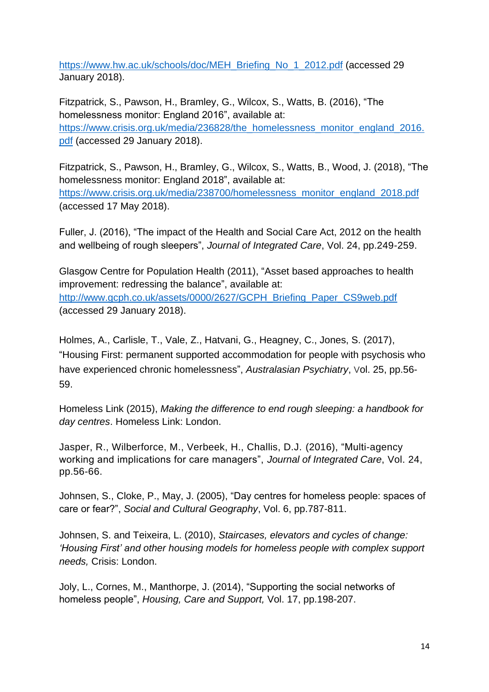[https://www.hw.ac.uk/schools/doc/MEH\\_Briefing\\_No\\_1\\_2012.pdf](https://www.hw.ac.uk/schools/doc/MEH_Briefing_No_1_2012.pdf) (accessed 29 January 2018).

Fitzpatrick, S., Pawson, H., Bramley, G., Wilcox, S., Watts, B. (2016), "The homelessness monitor: England 2016", available at: [https://www.crisis.org.uk/media/236828/the\\_homelessness\\_monitor\\_england\\_2016.](https://www.crisis.org.uk/media/236828/the_homelessness_monitor_england_2016.pdf) [pdf](https://www.crisis.org.uk/media/236828/the_homelessness_monitor_england_2016.pdf) (accessed 29 January 2018).

Fitzpatrick, S., Pawson, H., Bramley, G., Wilcox, S., Watts, B., Wood, J. (2018), "The homelessness monitor: England 2018", available at: [https://www.crisis.org.uk/media/238700/homelessness\\_monitor\\_england\\_2018.pdf](https://www.crisis.org.uk/media/238700/homelessness_monitor_england_2018.pdf) (accessed 17 May 2018).

Fuller, J. (2016), "The impact of the Health and Social Care Act, 2012 on the health and wellbeing of rough sleepers", *Journal of Integrated Care*, Vol. 24, pp.249-259.

Glasgow Centre for Population Health (2011), "Asset based approaches to health improvement: redressing the balance", available at: [http://www.gcph.co.uk/assets/0000/2627/GCPH\\_Briefing\\_Paper\\_CS9web.pdf](http://www.gcph.co.uk/assets/0000/2627/GCPH_Briefing_Paper_CS9web.pdf) (accessed 29 January 2018).

Holmes, A., Carlisle, T., Vale, Z., Hatvani, G., Heagney, C., Jones, S. (2017), "Housing First: permanent supported accommodation for people with psychosis who have experienced chronic homelessness", *Australasian Psychiatry*, Vol. 25, pp.56- 59.

Homeless Link (2015), *Making the difference to end rough sleeping: a handbook for day centres*. Homeless Link: London.

[Jasper, R., Wilberforce, M., Verbeek, H., Challis, D.J. \(](http://www.emeraldinsight.com.ezproxy.staffs.ac.uk/author/Jasper%2C+Rowan)2016), "Multi-agency working and implications for care managers", *Journal of Integrated Care*, Vol. 24, pp.56-66.

Johnsen, S., Cloke, P., May, J. (2005), "Day centres for homeless people: spaces of care or fear?", *Social and Cultural Geography*, Vol. 6, pp.787-811.

Johnsen, S. and Teixeira, L. (2010), *Staircases, elevators and cycles of change: 'Housing First' and other housing models for homeless people with complex support needs,* Crisis: London.

Joly, L., Cornes, M., Manthorpe, J. (2014), "Supporting the social networks of homeless people", *Housing, Care and Support,* Vol. 17, pp.198-207.